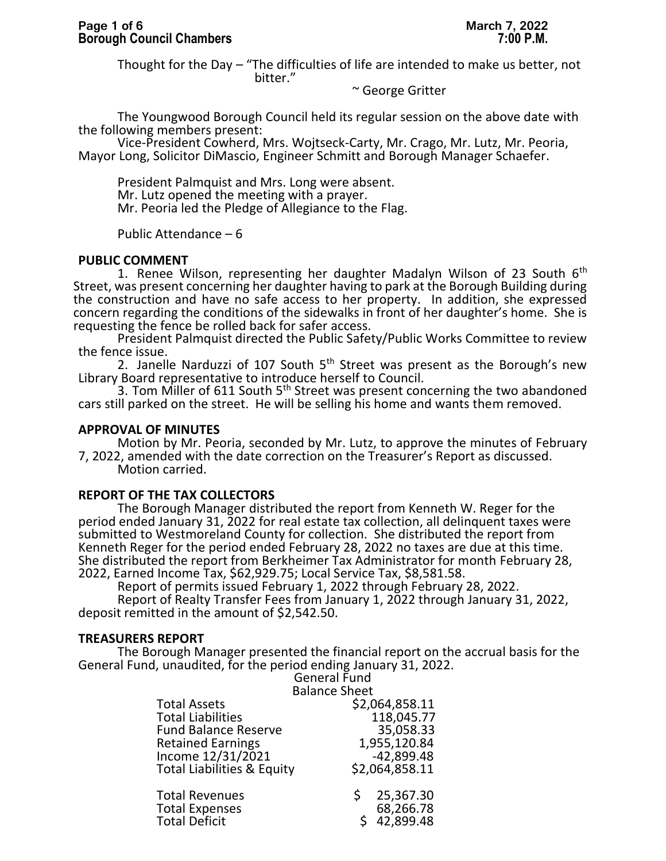Thought for the Day – "The difficulties of life are intended to make us better, not bitter."

### ~ George Gritter

The Youngwood Borough Council held its regular session on the above date with the following members present:

Vice-President Cowherd, Mrs. Wojtseck-Carty, Mr. Crago, Mr. Lutz, Mr. Peoria, Mayor Long, Solicitor DiMascio, Engineer Schmitt and Borough Manager Schaefer.

President Palmquist and Mrs. Long were absent. Mr. Lutz opened the meeting with a prayer. Mr. Peoria led the Pledge of Allegiance to the Flag.

Public Attendance – 6

# **PUBLIC COMMENT**

1. Renee Wilson, representing her daughter Madalyn Wilson of 23 South  $6<sup>th</sup>$ Street, was present concerning her daughter having to park at the Borough Building during the construction and have no safe access to her property. In addition, she expressed concern regarding the conditions of the sidewalks in front of her daughter's home. She is requesting the fence be rolled back for safer access.

President Palmquist directed the Public Safety/Public Works Committee to review the fence issue.

2. Janelle Narduzzi of 107 South  $5<sup>th</sup>$  Street was present as the Borough's new Library Board representative to introduce herself to Council.

3. Tom Miller of 611 South 5<sup>th</sup> Street was present concerning the two abandoned cars still parked on the street. He will be selling his home and wants them removed.

### **APPROVAL OF MINUTES**

Motion by Mr. Peoria, seconded by Mr. Lutz, to approve the minutes of February 7, 2022, amended with the date correction on the Treasurer's Report as discussed. Motion carried.

# **REPORT OF THE TAX COLLECTORS**

The Borough Manager distributed the report from Kenneth W. Reger for the period ended January 31, 2022 for real estate tax collection, all delinquent taxes were submitted to Westmoreland County for collection. She distributed the report from Kenneth Reger for the period ended February 28, 2022 no taxes are due at this time. She distributed the report from Berkheimer Tax Administrator for month February 28, 2022, Earned Income Tax, \$62,929.75; Local Service Tax, \$8,581.58.

Report of permits issued February 1, 2022 through February 28, 2022.

Report of Realty Transfer Fees from January 1, 2022 through January 31, 2022, deposit remitted in the amount of \$2,542.50.

# **TREASURERS REPORT**

The Borough Manager presented the financial report on the accrual basis for the General Fund, unaudited, for the period ending January 31, 2022.

General Fund Balance Sheet

|                                                                        | Balafice Stieet                          |
|------------------------------------------------------------------------|------------------------------------------|
| <b>Total Assets</b>                                                    | \$2,064,858.11                           |
| <b>Total Liabilities</b>                                               | 118,045.77                               |
| <b>Fund Balance Reserve</b>                                            | 35,058.33                                |
| <b>Retained Earnings</b>                                               | 1,955,120.84                             |
| Income 12/31/2021                                                      | $-42,899.48$                             |
| <b>Total Liabilities &amp; Equity</b>                                  | \$2,064,858.11                           |
| <b>Total Revenues</b><br><b>Total Expenses</b><br><b>Total Deficit</b> | 25,367.30<br>S<br>68,266.78<br>42,899.48 |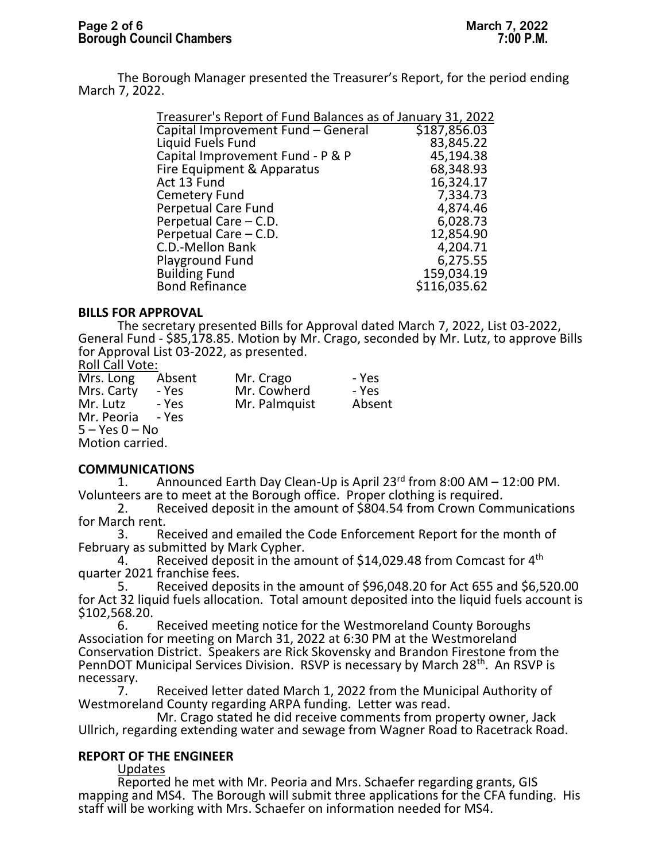The Borough Manager presented the Treasurer's Report, for the period ending March 7, 2022.

| Treasurer's Report of Fund Balances as of January 31, 2022 |              |  |  |  |
|------------------------------------------------------------|--------------|--|--|--|
| Capital Improvement Fund - General                         | \$187,856.03 |  |  |  |
| Liquid Fuels Fund                                          | 83,845.22    |  |  |  |
| Capital Improvement Fund - P & P                           | 45,194.38    |  |  |  |
| Fire Equipment & Apparatus                                 | 68,348.93    |  |  |  |
| Act 13 Fund                                                | 16,324.17    |  |  |  |
| <b>Cemetery Fund</b>                                       | 7,334.73     |  |  |  |
| <b>Perpetual Care Fund</b>                                 | 4,874.46     |  |  |  |
| Perpetual Care - C.D.                                      | 6,028.73     |  |  |  |
| Perpetual Care - C.D.                                      | 12,854.90    |  |  |  |
| C.D.-Mellon Bank                                           | 4,204.71     |  |  |  |
| <b>Playground Fund</b>                                     | 6,275.55     |  |  |  |
| <b>Building Fund</b>                                       | 159,034.19   |  |  |  |
| <b>Bond Refinance</b>                                      | \$116,035.62 |  |  |  |
|                                                            |              |  |  |  |

### **BILLS FOR APPROVAL**

The secretary presented Bills for Approval dated March 7, 2022, List 03-2022, General Fund - \$85,178.85. Motion by Mr. Crago, seconded by Mr. Lutz, to approve Bills for Approval List 03-2022, as presented.

### Roll Call Vote:

| Mrs. Long          | Absent | Mr. Crago     | - Yes  |
|--------------------|--------|---------------|--------|
| Mrs. Carty         | - Yes  | Mr. Cowherd   | - Yes  |
| Mr. Lutz           | - Yes  | Mr. Palmquist | Absent |
| Mr. Peoria - Yes   |        |               |        |
| $5 - Yes$ $0 - No$ |        |               |        |
| Motion carried.    |        |               |        |

# **COMMUNICATIONS**<br>1. Annour

Announced Earth Day Clean-Up is April 23<sup>rd</sup> from 8:00 AM – 12:00 PM. Volunteers are to meet at the Borough office. Proper clothing is required.

2. Received deposit in the amount of \$804.54 from Crown Communications for March rent.

3. Received and emailed the Code Enforcement Report for the month of February as submitted by Mark Cypher.<br>4. Received deposit in the an

Received deposit in the amount of \$14,029.48 from Comcast for 4<sup>th</sup> quarter 2021 franchise fees.<br>5. Received depo

5. Received deposits in the amount of \$96,048.20 for Act 655 and \$6,520.00 for Act 32 liquid fuels allocation. Total amount deposited into the liquid fuels account is  $$102,568.20.$ 

Received meeting notice for the Westmoreland County Boroughs Association for meeting on March 31, 2022 at 6:30 PM at the Westmoreland Conservation District. Speakers are Rick Skovensky and Brandon Firestone from the PennDOT Municipal Services Division. RSVP is necessary by March 28<sup>th</sup>. An RSVP is necessary.<br>7.

Received letter dated March 1, 2022 from the Municipal Authority of Westmoreland County regarding ARPA funding. Letter was read.

Mr. Crago stated he did receive comments from property owner, Jack Ullrich, regarding extending water and sewage from Wagner Road to Racetrack Road.

# **REPORT OF THE ENGINEER**

Updates

Reported he met with Mr. Peoria and Mrs. Schaefer regarding grants, GIS mapping and MS4. The Borough will submit three applications for the CFA funding. His staff will be working with Mrs. Schaefer on information needed for MS4.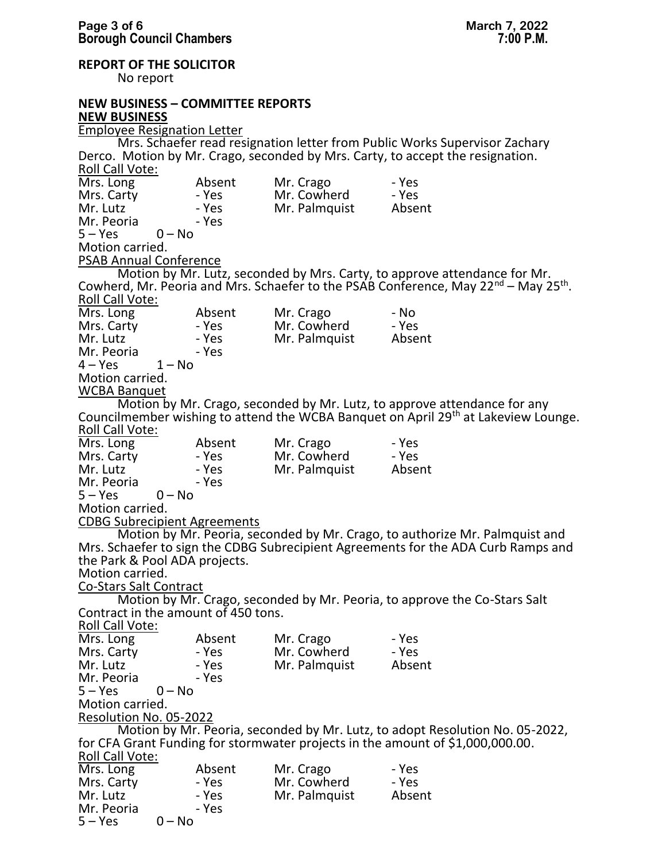**REPORT OF THE SOLICITOR** 

No report

Mr. Peoria<br>5 – Yes 0 – No

 $5 - Yes$ 

#### **NEW BUSINESS – COMMITTEE REPORTS NEW BUSINESS**

Employee Resignation Letter Mrs. Schaefer read resignation letter from Public Works Supervisor Zachary Derco. Motion by Mr. Crago, seconded by Mrs. Carty, to accept the resignation. Roll Call Vote: Mrs. Long Absent Mr. Crago - Yes Mrs. Carty - Yes Mr. Cowherd - Yes - Yes Mr. Palmquist - Yes Mr. Peoria<br>5 – Yes 0 – No  $5 - Yes$ Motion carried. PSAB Annual Conference Motion by Mr. Lutz, seconded by Mrs. Carty, to approve attendance for Mr. Cowherd, Mr. Peoria and Mrs. Schaefer to the PSAB Conference, May 22<sup>nd</sup> – May 25<sup>th</sup>. Roll Call Vote: Mrs. Long Absent Mr. Crago - No<br>
Mrs. Carty - Yes Mr. Cowherd - Yes Mrs. Carty - Yes Mr. Cowherd - Yes<br>Mr. Lutz - Yes Mr. Palmquist Absent - Yes Mr. Palmquist - Yes Mr. Peoria  $4 - Yes$   $1 - No$  $4 - Yes$ Motion carried. WCBA Banquet Motion by Mr. Crago, seconded by Mr. Lutz, to approve attendance for any Councilmember wishing to attend the WCBA Banquet on April 29th at Lakeview Lounge. Roll Call Vote: Mrs. Long Absent Mr. Crago - Yes Mrs. Carty - Yes Mr. Cowherd - Yes<br>Mr. Lutz - Yes Mr. Palmquist Absent - Yes Mr. Palmquist - Yes Mr. Peoria<br>5 – Yes 0 – No  $5 - Yes$ Motion carried. CDBG Subrecipient Agreements Motion by Mr. Peoria, seconded by Mr. Crago, to authorize Mr. Palmquist and Mrs. Schaefer to sign the CDBG Subrecipient Agreements for the ADA Curb Ramps and the Park & Pool ADA projects. Motion carried. Co-Stars Salt Contract Motion by Mr. Crago, seconded by Mr. Peoria, to approve the Co-Stars Salt Contract in the amount of 450 tons. Roll Call Vote: Mrs. Long Absent Mr. Crago - Yes Mrs. Carty - Yes Mr. Cowherd - Yes<br>Mr. Lutz - Yes Mr. Palmquist Absent - Yes Mr. Palmquist<br>- Yes Mr. Peoria<br>5 – Yes  $0 - No$ Motion carried. Resolution No. 05-2022 Motion by Mr. Peoria, seconded by Mr. Lutz, to adopt Resolution No. 05-2022, for CFA Grant Funding for stormwater projects in the amount of \$1,000,000.00. Roll Call Vote: Mrs. Long Absent Mr. Crago - Yes Mrs. Carty - Yes Mr. Cowherd - Yes<br>Mr. Lutz - Yes Mr. Palmquist Absent - Yes Mr. Palmquist - Yes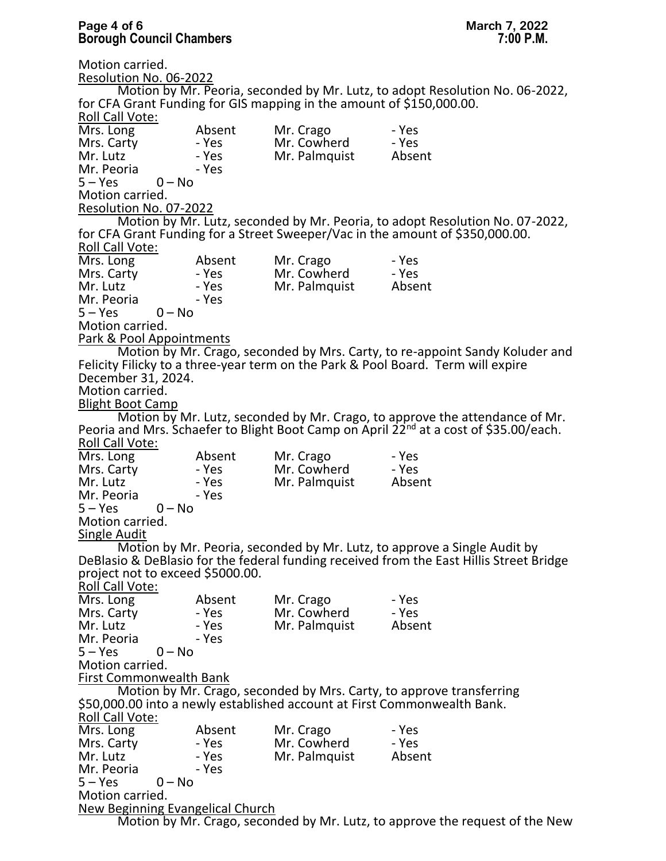### **Page 4 of 6 March 7, 2022 Borough Council Chambers 7:00 P.M.**

Motion carried. Resolution No. 06-2022 Motion by Mr. Peoria, seconded by Mr. Lutz, to adopt Resolution No. 06-2022, for CFA Grant Funding for GIS mapping in the amount of \$150,000.00. Roll Call Vote: Mrs. Long Absent Mr. Crago - Yes Mrs. Carty - Yes Mr. Cowherd - Yes<br>
Mr. Lutz - Yes Mr. Palmquist Absent - Yes Mr. Palmquist - Yes Mr. Peoria  $5 - Yes$   $0 - No$  $5 - Yes$ Motion carried. Resolution No. 07-2022 Motion by Mr. Lutz, seconded by Mr. Peoria, to adopt Resolution No. 07-2022, for CFA Grant Funding for a Street Sweeper/Vac in the amount of \$350,000.00. Roll Call Vote: Mrs. Long Absent Mr. Crago - Yes Mrs. Carty - Yes Mr. Cowherd - Yes<br>Mr. Lutz - Yes Mr. Palmquist Absent - Yes Mr. Palmquist<br>- Yes Mr. Peoria  $5 - Yes$   $0 - No$  $5 - Yes$ Motion carried. Park & Pool Appointments Motion by Mr. Crago, seconded by Mrs. Carty, to re-appoint Sandy Koluder and Felicity Filicky to a three-year term on the Park & Pool Board. Term will expire December 31, 2024. Motion carried. Blight Boot Camp Motion by Mr. Lutz, seconded by Mr. Crago, to approve the attendance of Mr. Peoria and Mrs. Schaefer to Blight Boot Camp on April 22<sup>nd</sup> at a cost of \$35.00/each. Roll Call Vote: Mrs. Long Absent Mr. Crago - Yes<br>
Mrs. Carty - Yes Mr. Cowherd - Yes Mrs. Carty - Yes Mr. Cowherd - Yes<br>Mr. Lutz - Yes Mr. Palmquist Absent - Yes Mr. Palmquist<br>- Yes Mr. Peoria  $5 - Yes$   $0 - No$  $5 - Yes$ Motion carried. Single Audit Motion by Mr. Peoria, seconded by Mr. Lutz, to approve a Single Audit by DeBlasio & DeBlasio for the federal funding received from the East Hillis Street Bridge project not to exceed \$5000.00. Roll Call Vote:<br>Mrs. Long Mrs. Long Absent Mr. Crago - Yes Mrs. Carty - Yes Mr. Cowherd - Yes<br>Mr. Lutz - Yes Mr. Palmquist Absent - Yes Mr. Palmquist<br>- Yes Mr. Peoria  $5 - Yes$   $0 - No$  $5 - Yes$ Motion carried. First Commonwealth Bank Motion by Mr. Crago, seconded by Mrs. Carty, to approve transferring \$50,000.00 into a newly established account at First Commonwealth Bank. Roll Call Vote: Mrs. Long Absent Mr. Crago - Yes Mrs. Carty - Yes Mr. Cowherd - Yes - Yes Mr. Palmquist - Yes Mr. Peoria<br>5 – Yes 0 – No  $5 - Yes$ Motion carried. New Beginning Evangelical Church

Motion by Mr. Crago, seconded by Mr. Lutz, to approve the request of the New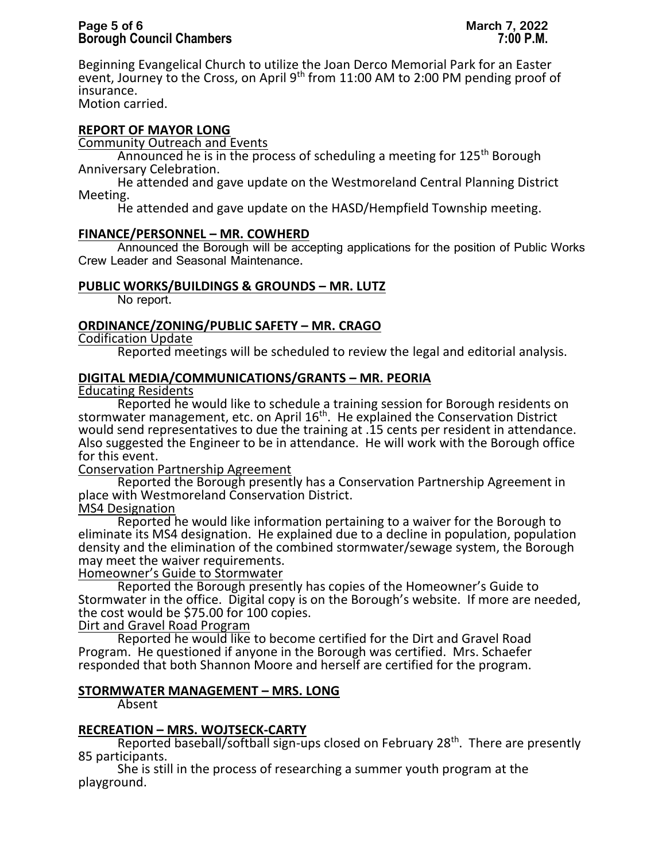# **Page 5 of 6 March 7, 2022 Borough Council Chambers 7:00 P.M.**

Beginning Evangelical Church to utilize the Joan Derco Memorial Park for an Easter event, Journey to the Cross, on April 9<sup>th</sup> from 11:00 AM to 2:00 PM pending proof of insurance.

Motion carried.

# **REPORT OF MAYOR LONG**

Community Outreach and Events

Announced he is in the process of scheduling a meeting for  $125<sup>th</sup>$  Borough Anniversary Celebration.

He attended and gave update on the Westmoreland Central Planning District Meeting.

He attended and gave update on the HASD/Hempfield Township meeting.

# **FINANCE/PERSONNEL – MR. COWHERD**

Announced the Borough will be accepting applications for the position of Public Works Crew Leader and Seasonal Maintenance.

# **PUBLIC WORKS/BUILDINGS & GROUNDS – MR. LUTZ**

No report.

# **ORDINANCE/ZONING/PUBLIC SAFETY – MR. CRAGO**

Codification Update

Reported meetings will be scheduled to review the legal and editorial analysis.

### **DIGITAL MEDIA/COMMUNICATIONS/GRANTS – MR. PEORIA**

Educating Residents

Reported he would like to schedule a training session for Borough residents on stormwater management, etc. on April 16<sup>th</sup>. He explained the Conservation District would send representatives to due the training at .15 cents per resident in attendance. Also suggested the Engineer to be in attendance. He will work with the Borough office for this event.

Conservation Partnership Agreement

Reported the Borough presently has a Conservation Partnership Agreement in place with Westmoreland Conservation District.

MS4 Designation

Reported he would like information pertaining to a waiver for the Borough to eliminate its MS4 designation. He explained due to a decline in population, population density and the elimination of the combined stormwater/sewage system, the Borough may meet the waiver requirements.

Homeowner's Guide to Stormwater

Reported the Borough presently has copies of the Homeowner's Guide to Stormwater in the office. Digital copy is on the Borough's website. If more are needed, the cost would be \$75.00 for 100 copies.

Dirt and Gravel Road Program

Reported he would like to become certified for the Dirt and Gravel Road Program. He questioned if anyone in the Borough was certified. Mrs. Schaefer responded that both Shannon Moore and herself are certified for the program.

# **STORMWATER MANAGEMENT – MRS. LONG**

Absent

# **RECREATION – MRS. WOJTSECK-CARTY**

Reported baseball/softball sign-ups closed on February 28<sup>th</sup>. There are presently 85 participants.

She is still in the process of researching a summer youth program at the playground.